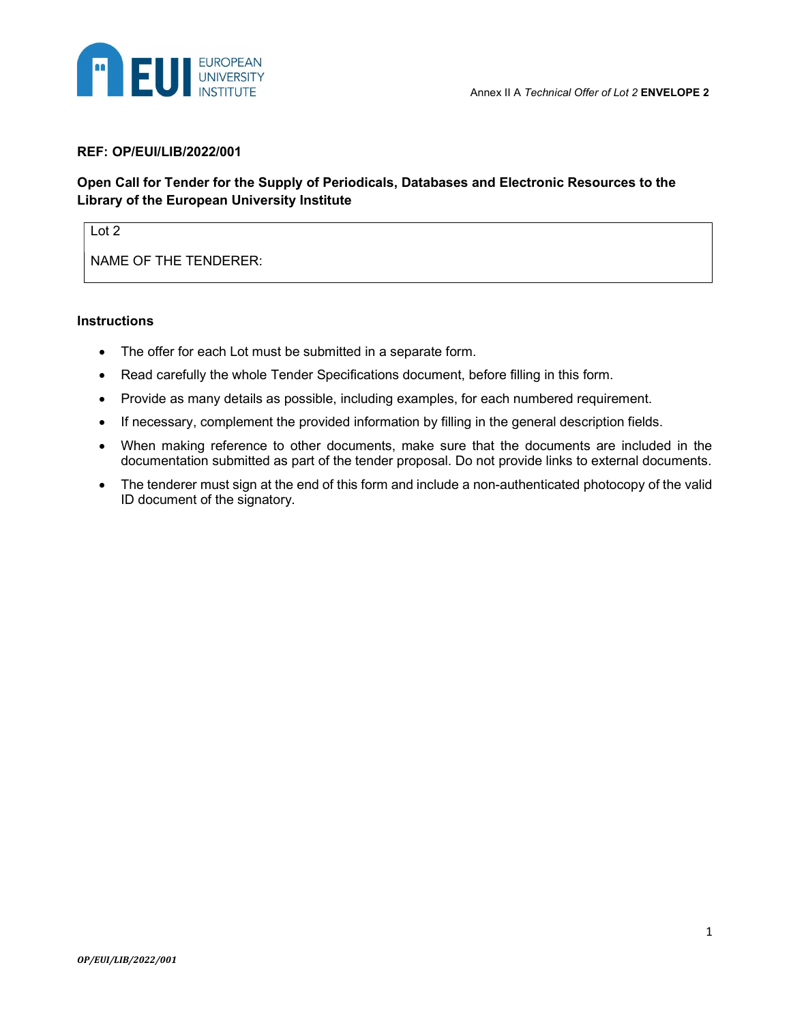

#### REF: OP/EUI/LIB/2022/001

# Open Call for Tender for the Supply of Periodicals, Databases and Electronic Resources to the Library of the European University Institute

# Lot 2

NAME OF THE TENDERER:

#### **Instructions**

- The offer for each Lot must be submitted in a separate form.
- Read carefully the whole Tender Specifications document, before filling in this form.
- Provide as many details as possible, including examples, for each numbered requirement.
- If necessary, complement the provided information by filling in the general description fields.
- When making reference to other documents, make sure that the documents are included in the documentation submitted as part of the tender proposal. Do not provide links to external documents.
- The tenderer must sign at the end of this form and include a non-authenticated photocopy of the valid ID document of the signatory.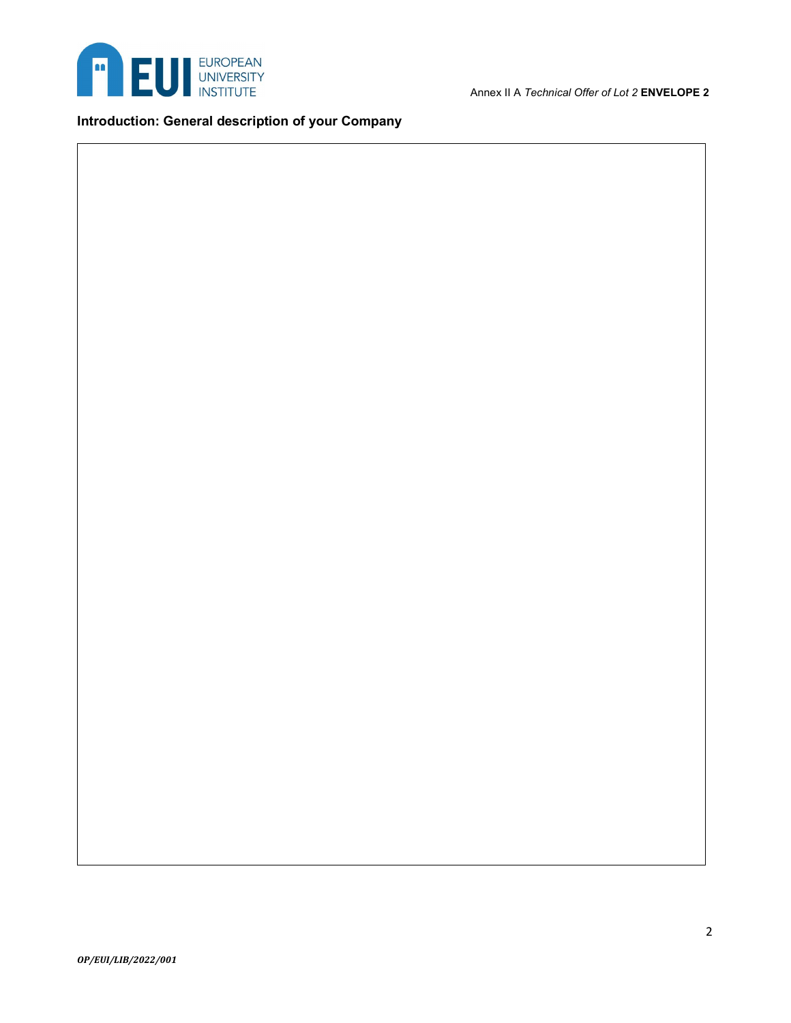

Annex II A Technical Offer of Lot 2 **ENVELOPE 2** 

# Introduction: General description of your Company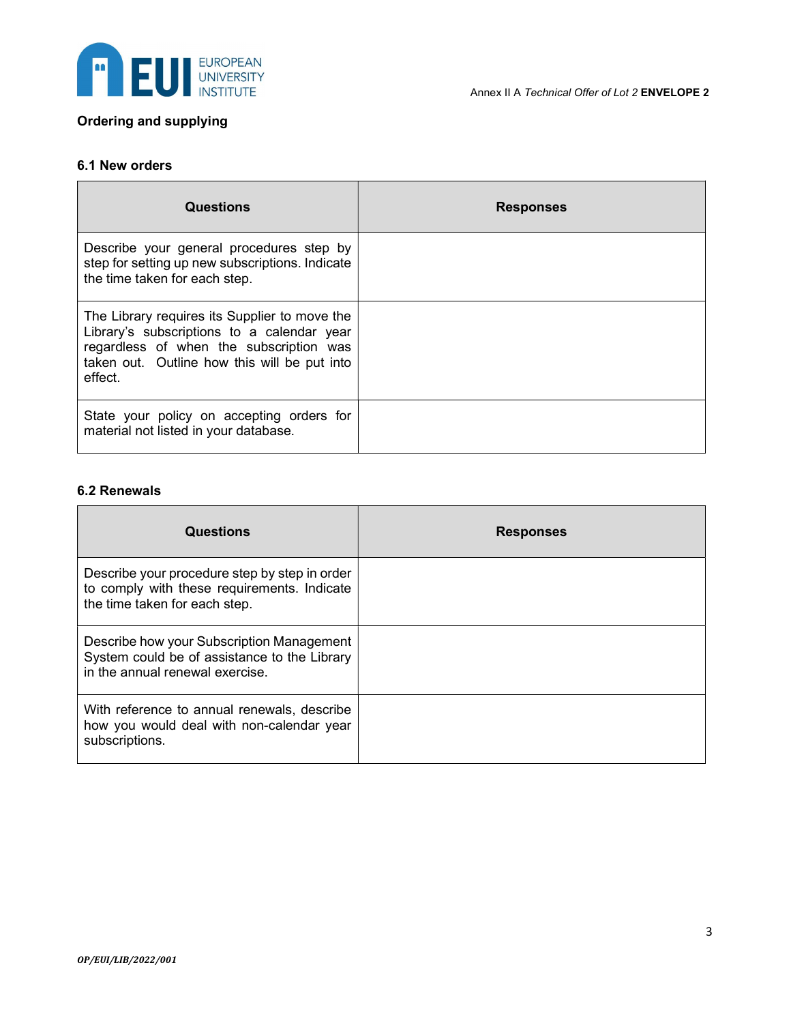

# Ordering and supplying

## 6.1 New orders

| <b>Questions</b>                                                                                                                                                                                  | <b>Responses</b> |
|---------------------------------------------------------------------------------------------------------------------------------------------------------------------------------------------------|------------------|
| Describe your general procedures step by<br>step for setting up new subscriptions. Indicate<br>the time taken for each step.                                                                      |                  |
| The Library requires its Supplier to move the<br>Library's subscriptions to a calendar year<br>regardless of when the subscription was<br>taken out. Outline how this will be put into<br>effect. |                  |
| State your policy on accepting orders for<br>material not listed in your database.                                                                                                                |                  |

## 6.2 Renewals

| <b>Questions</b>                                                                                                              | <b>Responses</b> |
|-------------------------------------------------------------------------------------------------------------------------------|------------------|
| Describe your procedure step by step in order<br>to comply with these requirements. Indicate<br>the time taken for each step. |                  |
| Describe how your Subscription Management<br>System could be of assistance to the Library<br>in the annual renewal exercise.  |                  |
| With reference to annual renewals, describe<br>how you would deal with non-calendar year<br>subscriptions.                    |                  |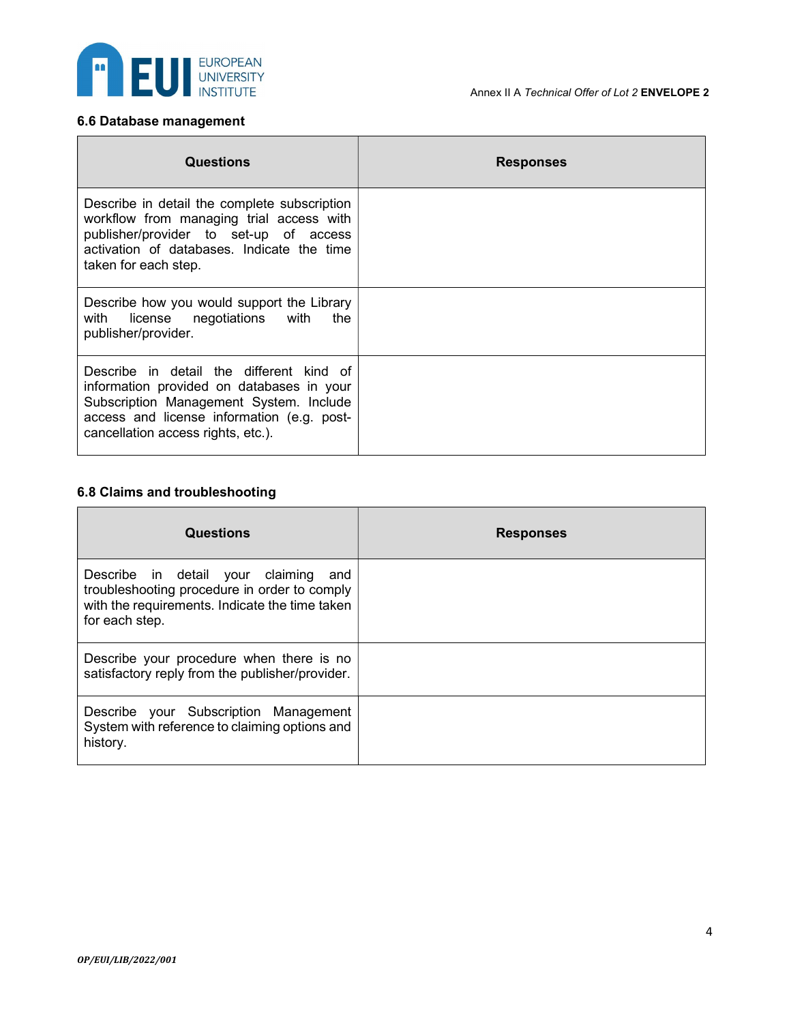

# 6.6 Database management

| <b>Questions</b>                                                                                                                                                                                                     | <b>Responses</b> |
|----------------------------------------------------------------------------------------------------------------------------------------------------------------------------------------------------------------------|------------------|
| Describe in detail the complete subscription<br>workflow from managing trial access with<br>publisher/provider to set-up of access<br>activation of databases. Indicate the time<br>taken for each step.             |                  |
| Describe how you would support the Library<br>with license negotiations with<br>the<br>publisher/provider.                                                                                                           |                  |
| Describe in detail the different kind of<br>information provided on databases in your<br>Subscription Management System. Include<br>access and license information (e.g. post-<br>cancellation access rights, etc.). |                  |

# 6.8 Claims and troubleshooting

| <b>Questions</b>                                                                                                                                         | <b>Responses</b> |
|----------------------------------------------------------------------------------------------------------------------------------------------------------|------------------|
| Describe in detail your claiming and<br>troubleshooting procedure in order to comply<br>with the requirements. Indicate the time taken<br>for each step. |                  |
| Describe your procedure when there is no<br>satisfactory reply from the publisher/provider.                                                              |                  |
| Describe your Subscription Management<br>System with reference to claiming options and<br>history.                                                       |                  |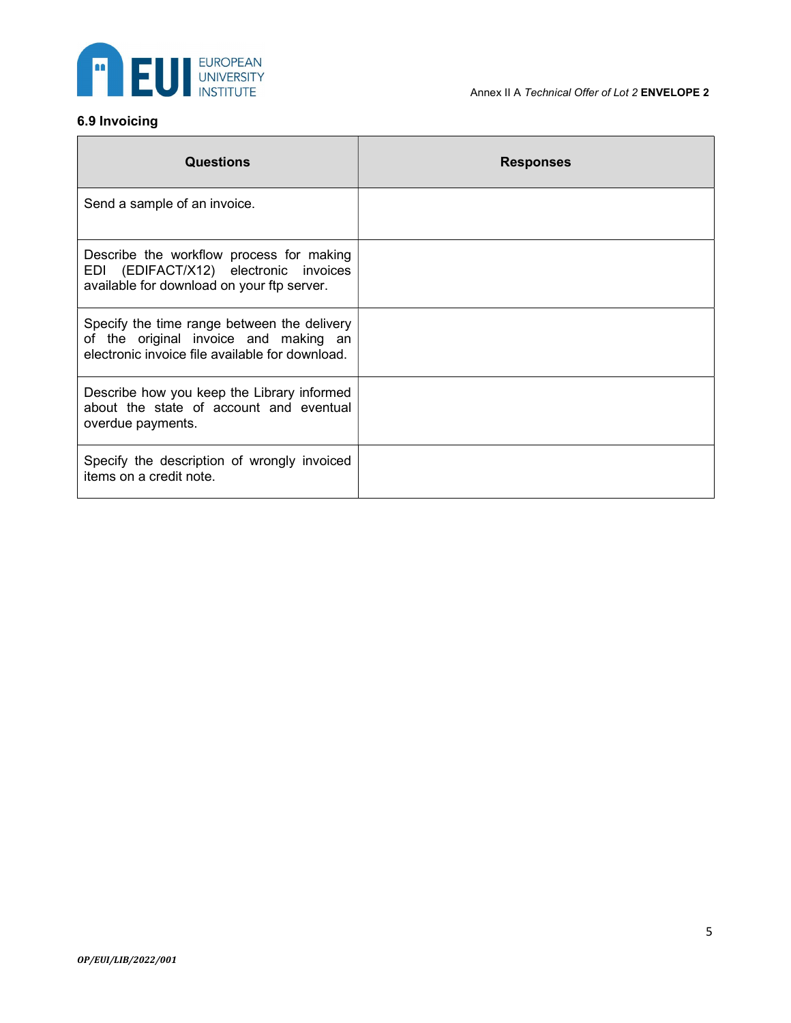

#### Annex II A Technical Offer of Lot 2 **ENVELOPE 2**

# 6.9 Invoicing

| Questions                                                                                                                               | <b>Responses</b> |
|-----------------------------------------------------------------------------------------------------------------------------------------|------------------|
| Send a sample of an invoice.                                                                                                            |                  |
| Describe the workflow process for making<br>EDI (EDIFACT/X12) electronic invoices<br>available for download on your ftp server.         |                  |
| Specify the time range between the delivery<br>of the original invoice and making an<br>electronic invoice file available for download. |                  |
| Describe how you keep the Library informed<br>about the state of account and eventual<br>overdue payments.                              |                  |
| Specify the description of wrongly invoiced<br>items on a credit note.                                                                  |                  |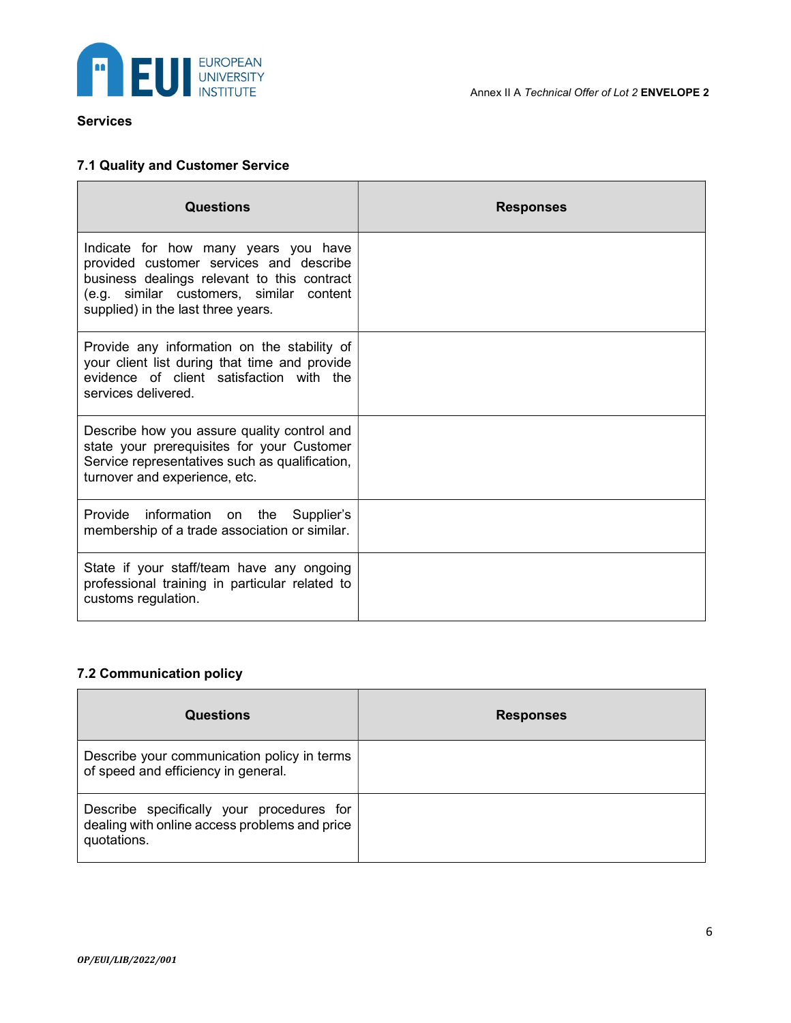

#### Services

# 7.1 Quality and Customer Service

| Questions                                                                                                                                                                                                        | <b>Responses</b> |
|------------------------------------------------------------------------------------------------------------------------------------------------------------------------------------------------------------------|------------------|
| Indicate for how many years you have<br>provided customer services and describe<br>business dealings relevant to this contract<br>(e.g. similar customers, similar content<br>supplied) in the last three years. |                  |
| Provide any information on the stability of<br>your client list during that time and provide<br>evidence of client satisfaction with the<br>services delivered.                                                  |                  |
| Describe how you assure quality control and<br>state your prerequisites for your Customer<br>Service representatives such as qualification,<br>turnover and experience, etc.                                     |                  |
| Provide information on the<br>Supplier's<br>membership of a trade association or similar.                                                                                                                        |                  |
| State if your staff/team have any ongoing<br>professional training in particular related to<br>customs regulation.                                                                                               |                  |

#### 7.2 Communication policy

| Questions                                                                                                 | <b>Responses</b> |
|-----------------------------------------------------------------------------------------------------------|------------------|
| Describe your communication policy in terms<br>of speed and efficiency in general.                        |                  |
| Describe specifically your procedures for<br>dealing with online access problems and price<br>quotations. |                  |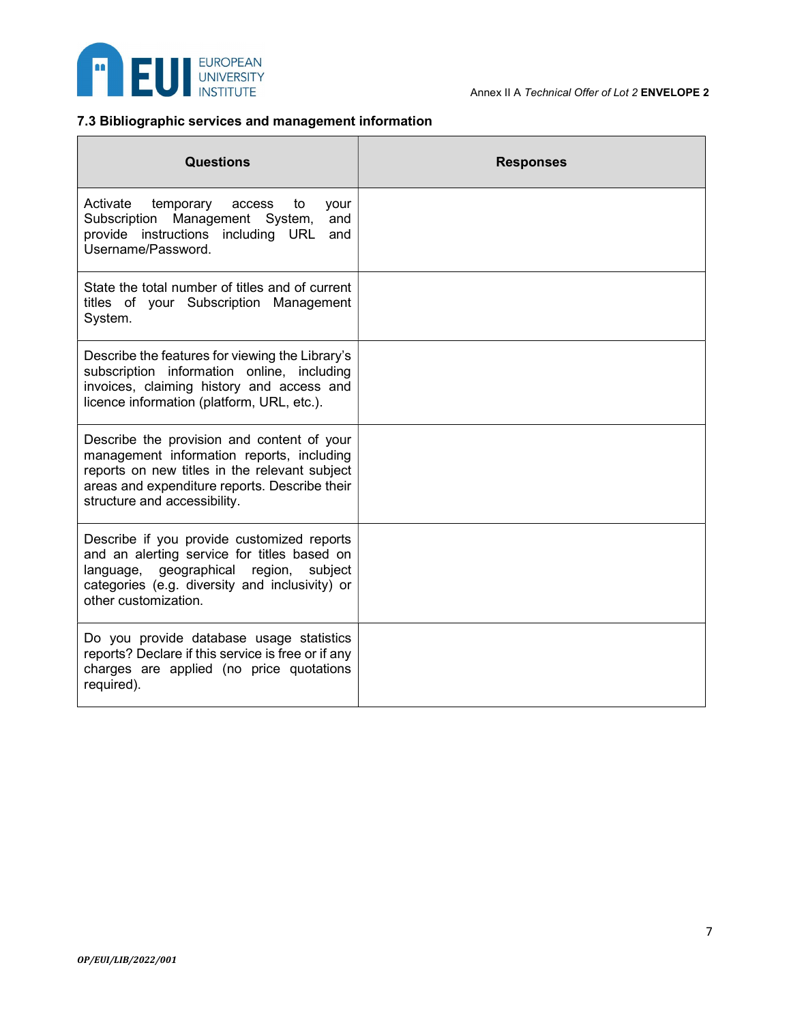

# 7.3 Bibliographic services and management information

| <b>Questions</b>                                                                                                                                                                                                          | <b>Responses</b> |
|---------------------------------------------------------------------------------------------------------------------------------------------------------------------------------------------------------------------------|------------------|
| Activate<br>temporary<br>access<br>to<br>your<br>Subscription Management System,<br>and<br>provide instructions including URL<br>and<br>Username/Password.                                                                |                  |
| State the total number of titles and of current<br>titles of your Subscription Management<br>System.                                                                                                                      |                  |
| Describe the features for viewing the Library's<br>subscription information online, including<br>invoices, claiming history and access and<br>licence information (platform, URL, etc.).                                  |                  |
| Describe the provision and content of your<br>management information reports, including<br>reports on new titles in the relevant subject<br>areas and expenditure reports. Describe their<br>structure and accessibility. |                  |
| Describe if you provide customized reports<br>and an alerting service for titles based on<br>language, geographical region,<br>subject<br>categories (e.g. diversity and inclusivity) or<br>other customization.          |                  |
| Do you provide database usage statistics<br>reports? Declare if this service is free or if any<br>charges are applied (no price quotations<br>required).                                                                  |                  |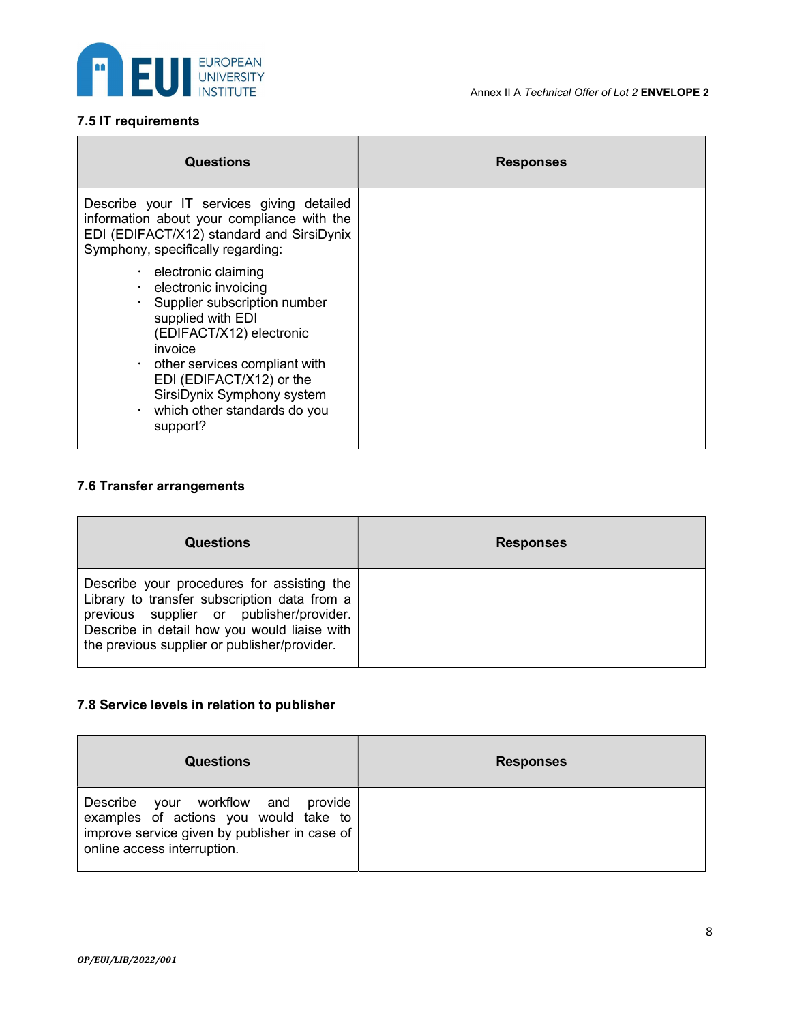

# 7.5 IT requirements

| Questions                                                                                                                                                                                                                                                                                                                   | <b>Responses</b> |
|-----------------------------------------------------------------------------------------------------------------------------------------------------------------------------------------------------------------------------------------------------------------------------------------------------------------------------|------------------|
| Describe your IT services giving detailed<br>information about your compliance with the<br>EDI (EDIFACT/X12) standard and SirsiDynix<br>Symphony, specifically regarding:                                                                                                                                                   |                  |
| $\cdot$ electronic claiming<br>$\cdot$ electronic invoicing<br>$\cdot$ Supplier subscription number<br>supplied with EDI<br>(EDIFACT/X12) electronic<br>invoice<br>other services compliant with<br>$\bullet$<br>EDI (EDIFACT/X12) or the<br>SirsiDynix Symphony system<br>$\cdot$ which other standards do you<br>support? |                  |

# 7.6 Transfer arrangements

| Questions                                                                                                                                                                                                                              | <b>Responses</b> |
|----------------------------------------------------------------------------------------------------------------------------------------------------------------------------------------------------------------------------------------|------------------|
| Describe your procedures for assisting the<br>Library to transfer subscription data from a<br>previous supplier or publisher/provider.<br>Describe in detail how you would liaise with<br>the previous supplier or publisher/provider. |                  |

# 7.8 Service levels in relation to publisher

| <b>Questions</b>                                                                                                                                            | <b>Responses</b> |
|-------------------------------------------------------------------------------------------------------------------------------------------------------------|------------------|
| Describe your workflow and provide<br>examples of actions you would take to<br>improve service given by publisher in case of<br>online access interruption. |                  |